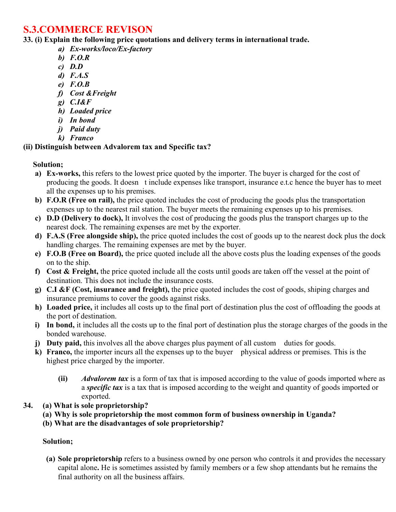# **S.3.COMMERCE REVISON**

**33. (i) Explain the following price quotations and delivery terms in international trade.** 

- *a) Ex-works/loco/Ex-factory*
- *b) F.O.R*
- *c) D.D*
- *d) F.A.S*
- *e) F.O.B*
- *f) Cost &Freight*
- *g) C.I&F*
- *h) Loaded price*
- *i) In bond*
- *j) Paid duty*
- *k) Franco*

### **(ii) Distinguish between Advalorem tax and Specific tax?**

### **Solution;**

- **a) Ex-works,** this refers to the lowest price quoted by the importer. The buyer is charged for the cost of producing the goods. It doesn t include expenses like transport, insurance e.t.c hence the buyer has to meet all the expenses up to his premises.
- **b) F.O.R (Free on rail),** the price quoted includes the cost of producing the goods plus the transportation expenses up to the nearest rail station. The buyer meets the remaining expenses up to his premises.
- **c) D.D (Delivery to dock),** It involves the cost of producing the goods plus the transport charges up to the nearest dock. The remaining expenses are met by the exporter.
- **d) F.A.S (Free alongside ship),** the price quoted includes the cost of goods up to the nearest dock plus the dock handling charges. The remaining expenses are met by the buyer.
- **e) F.O.B (Free on Board),** the price quoted include all the above costs plus the loading expenses of the goods on to the ship.
- **f) Cost & Freight,** the price quoted include all the costs until goods are taken off the vessel at the point of destination. This does not include the insurance costs.
- **g) C.I &F (Cost, insurance and freight),** the price quoted includes the cost of goods, shiping charges and insurance premiums to cover the goods against risks.
- **h) Loaded price,** it includes all costs up to the final port of destination plus the cost of offloading the goods at the port of destination.
- **i) In bond,** it includes all the costs up to the final port of destination plus the storage charges of the goods in the bonded warehouse.
- **j)** Duty paid, this involves all the above charges plus payment of all custom duties for goods.
- **k) Franco,** the importer incurs all the expenses up to the buyer physical address or premises. This is the highest price charged by the importer.
	- **(ii)** *Advalorem tax* is a form of tax that is imposed according to the value of goods imported where as a *specific tax* is a tax that is imposed according to the weight and quantity of goods imported or exported.
- **34. (a) What is sole proprietorship?** 
	- **(a) Why is sole proprietorship the most common form of business ownership in Uganda?**
	- **(b) What are the disadvantages of sole proprietorship?**

# **Solution;**

**(a) Sole proprietorship** refers to a business owned by one person who controls it and provides the necessary capital alone**.** He is sometimes assisted by family members or a few shop attendants but he remains the final authority on all the business affairs.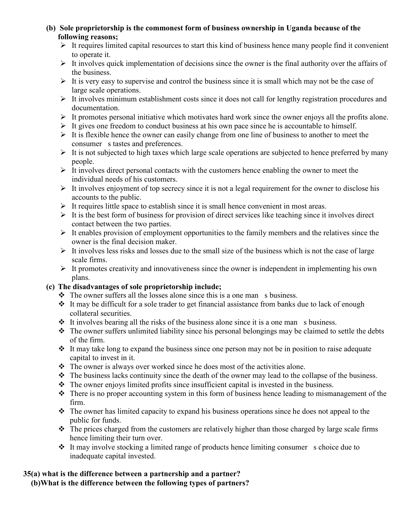- **(b) Sole proprietorship is the commonest form of business ownership in Uganda because of the following reasons;**
	- $\triangleright$  It requires limited capital resources to start this kind of business hence many people find it convenient to operate it.
	- $\triangleright$  It involves quick implementation of decisions since the owner is the final authority over the affairs of the business.
	- $\triangleright$  It is very easy to supervise and control the business since it is small which may not be the case of large scale operations.
	- It involves minimum establishment costs since it does not call for lengthy registration procedures and documentation.
	- $\triangleright$  It promotes personal initiative which motivates hard work since the owner enjoys all the profits alone.
	- $\triangleright$  It gives one freedom to conduct business at his own pace since he is accountable to himself.
	- $\triangleright$  It is flexible hence the owner can easily change from one line of business to another to meet the consumer s tastes and preferences.
	- $\triangleright$  It is not subjected to high taxes which large scale operations are subjected to hence preferred by many people.
	- $\triangleright$  It involves direct personal contacts with the customers hence enabling the owner to meet the individual needs of his customers.
	- $\triangleright$  It involves enjoyment of top secrecy since it is not a legal requirement for the owner to disclose his accounts to the public.
	- $\triangleright$  It requires little space to establish since it is small hence convenient in most areas.
	- $\triangleright$  It is the best form of business for provision of direct services like teaching since it involves direct contact between the two parties.
	- $\triangleright$  It enables provision of employment opportunities to the family members and the relatives since the owner is the final decision maker.
	- $\triangleright$  It involves less risks and losses due to the small size of the business which is not the case of large scale firms.
	- $\triangleright$  It promotes creativity and innovativeness since the owner is independent in implementing his own plans.

### **(c) The disadvantages of sole proprietorship include;**

- $\triangleleft$  The owner suffers all the losses alone since this is a one man s business.
- $\cdot \cdot$  It may be difficult for a sole trader to get financial assistance from banks due to lack of enough collateral securities.
- $\cdot \cdot$  It involves bearing all the risks of the business alone since it is a one man s business.
- $\triangle$  The owner suffers unlimited liability since his personal belongings may be claimed to settle the debts of the firm.
- $\cdot \cdot$  It may take long to expand the business since one person may not be in position to raise adequate capital to invest in it.
- $\cdot \cdot$  The owner is always over worked since he does most of the activities alone.
- $\triangle$  The business lacks continuity since the death of the owner may lead to the collapse of the business.
- $\triangle$  The owner enjoys limited profits since insufficient capital is invested in the business.
- $\cdot \cdot$  There is no proper accounting system in this form of business hence leading to mismanagement of the firm.
- The owner has limited capacity to expand his business operations since he does not appeal to the public for funds.
- $\cdot \cdot$  The prices charged from the customers are relatively higher than those charged by large scale firms hence limiting their turn over.
- $\cdot \cdot$  It may involve stocking a limited range of products hence limiting consumer s choice due to inadequate capital invested.

### **35(a) what is the difference between a partnership and a partner?**

**(b)What is the difference between the following types of partners?**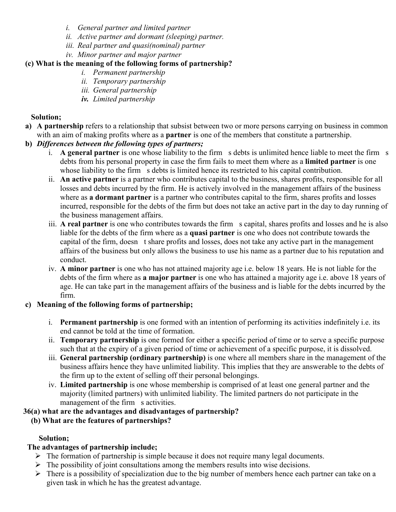- *i. General partner and limited partner*
- *ii. Active partner and dormant (sleeping) partner.*
- *iii. Real partner and quasi(nominal) partner*
- *iv. Minor partner and major partner*

# **(c) What is the meaning of the following forms of partnership?**

- *i. Permanent partnership*
- *ii. Temporary partnership*
- *iii. General partnership*
- *iv. Limited partnership*

## **Solution;**

- **a) A partnership** refers to a relationship that subsist between two or more persons carrying on business in common with an aim of making profits where as a **partner** is one of the members that constitute a partnership.
- **b)** *Differences between the following types of partners;*
	- i. **A general partner** is one whose liability to the firm s debts is unlimited hence liable to meet the firm s debts from his personal property in case the firm fails to meet them where as a **limited partner** is one whose liability to the firm s debts is limited hence its restricted to his capital contribution.
	- ii. **An active partner** is a partner who contributes capital to the business, shares profits, responsible for all losses and debts incurred by the firm. He is actively involved in the management affairs of the business where as **a dormant partner** is a partner who contributes capital to the firm, shares profits and losses incurred, responsible for the debts of the firm but does not take an active part in the day to day running of the business management affairs.
	- iii. **A real partner** is one who contributes towards the firm s capital, shares profits and losses and he is also liable for the debts of the firm where as a **quasi partner** is one who does not contribute towards the capital of the firm, doesn t share profits and losses, does not take any active part in the management affairs of the business but only allows the business to use his name as a partner due to his reputation and conduct.
	- iv. **A minor partner** is one who has not attained majority age i.e. below 18 years. He is not liable for the debts of the firm where as **a major partner** is one who has attained a majority age i.e. above 18 years of age. He can take part in the management affairs of the business and is liable for the debts incurred by the firm.

# **c) Meaning of the following forms of partnership;**

- i. **Permanent partnership** is one formed with an intention of performing its activities indefinitely i.e. its end cannot be told at the time of formation.
- ii. **Temporary partnership** is one formed for either a specific period of time or to serve a specific purpose such that at the expiry of a given period of time or achievement of a specific purpose, it is dissolved.
- iii. **General partnership (ordinary partnership)** is one where all members share in the management of the business affairs hence they have unlimited liability. This implies that they are answerable to the debts of the firm up to the extent of selling off their personal belongings.
- iv. **Limited partnership** is one whose membership is comprised of at least one general partner and the majority (limited partners) with unlimited liability. The limited partners do not participate in the management of the firm s activities.

# **36(a) what are the advantages and disadvantages of partnership?**

# **(b) What are the features of partnerships?**

# **Solution;**

# **The advantages of partnership include;**

- $\triangleright$  The formation of partnership is simple because it does not require many legal documents.
- $\triangleright$  The possibility of joint consultations among the members results into wise decisions.
- $\triangleright$  There is a possibility of specialization due to the big number of members hence each partner can take on a given task in which he has the greatest advantage.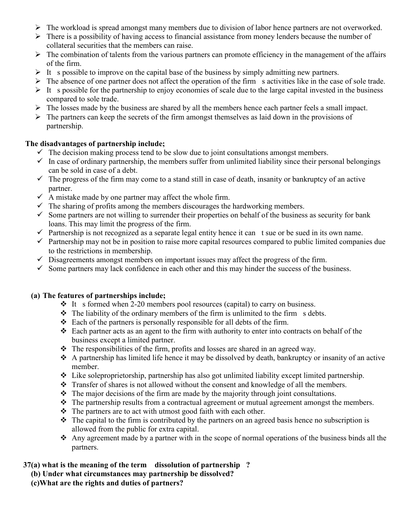- $\triangleright$  The workload is spread amongst many members due to division of labor hence partners are not overworked.
- $\triangleright$  There is a possibility of having access to financial assistance from money lenders because the number of collateral securities that the members can raise.
- $\triangleright$  The combination of talents from the various partners can promote efficiency in the management of the affairs of the firm.
- It s possible to improve on the capital base of the business by simply admitting new partners.
- $\triangleright$  The absence of one partner does not affect the operation of the firm s activities like in the case of sole trade.
- $\triangleright$  It s possible for the partnership to enjoy economies of scale due to the large capital invested in the business compared to sole trade.
- $\triangleright$  The losses made by the business are shared by all the members hence each partner feels a small impact.
- $\triangleright$  The partners can keep the secrets of the firm amongst themselves as laid down in the provisions of partnership.

#### **The disadvantages of partnership include;**

- $\checkmark$  The decision making process tend to be slow due to joint consultations amongst members.
- $\checkmark$  In case of ordinary partnership, the members suffer from unlimited liability since their personal belongings can be sold in case of a debt.
- $\checkmark$  The progress of the firm may come to a stand still in case of death, insanity or bankruptcy of an active partner.
- $\checkmark$  A mistake made by one partner may affect the whole firm.
- $\checkmark$  The sharing of profits among the members discourages the hardworking members.
- $\checkmark$  Some partners are not willing to surrender their properties on behalf of the business as security for bank loans. This may limit the progress of the firm.
- $\checkmark$  Partnership is not recognized as a separate legal entity hence it can t sue or be sued in its own name.
- $\checkmark$  Partnership may not be in position to raise more capital resources compared to public limited companies due to the restrictions in membership.
- $\checkmark$  Disagreements amongst members on important issues may affect the progress of the firm.
- $\checkmark$  Some partners may lack confidence in each other and this may hinder the success of the business.

#### **(a) The features of partnerships include;**

- $\div$  It s formed when 2-20 members pool resources (capital) to carry on business.
- $\hat{\mathbf{v}}$  The liability of the ordinary members of the firm is unlimited to the firm s debts.
- $\triangleleft$  Each of the partners is personally responsible for all debts of the firm.
- $\div$  Each partner acts as an agent to the firm with authority to enter into contracts on behalf of the business except a limited partner.
- $\hat{\cdot}$  The responsibilities of the firm, profits and losses are shared in an agreed way.
- A partnership has limited life hence it may be dissolved by death, bankruptcy or insanity of an active member.
- Like soleproprietorship, partnership has also got unlimited liability except limited partnership.
- \* Transfer of shares is not allowed without the consent and knowledge of all the members.
- $\hat{\mathbf{v}}$  The major decisions of the firm are made by the majority through joint consultations.
- $\hat{\mathbf{v}}$  The partnership results from a contractual agreement or mutual agreement amongst the members.
- $\triangle$  The partners are to act with utmost good faith with each other.
- $\hat{\cdot}$  The capital to the firm is contributed by the partners on an agreed basis hence no subscription is allowed from the public for extra capital.
- $\hat{\cdot}$  Any agreement made by a partner with in the scope of normal operations of the business binds all the partners.

### **37(a) what is the meaning of the term dissolution of partnership ?**

- **(b) Under what circumstances may partnership be dissolved?**
- **(c)What are the rights and duties of partners?**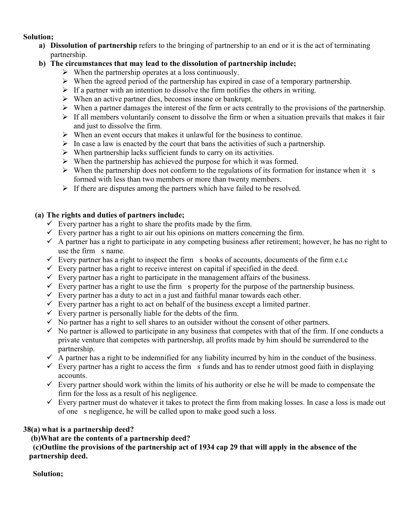#### **Solution;**

**a) Dissolution of partnership** refers to the bringing of partnership to an end or it is the act of terminating partnership.

### **b) The circumstances that may lead to the dissolution of partnership include;**

- $\triangleright$  When the partnership operates at a loss continuously.
- $\triangleright$  When the agreed period of the partnership has expired in case of a temporary partnership.
- $\triangleright$  If a partner with an intention to dissolve the firm notifies the others in writing.
- $\triangleright$  When an active partner dies, becomes insane or bankrupt.
- $\triangleright$  When a partner damages the interest of the firm or acts centrally to the provisions of the partnership.
- $\triangleright$  If all members voluntarily consent to dissolve the firm or when a situation prevails that makes it fair and just to dissolve the firm.
- $\triangleright$  When an event occurs that makes it unlawful for the business to continue.
- $\triangleright$  In case a law is enacted by the court that bans the activities of such a partnership.
- $\triangleright$  When partnership lacks sufficient funds to carry on its activities.
- $\triangleright$  When the partnership has achieved the purpose for which it was formed.
- $\triangleright$  When the partnership does not conform to the regulations of its formation for instance when it s formed with less than two members or more than twenty members.
- $\triangleright$  If there are disputes among the partners which have failed to be resolved.

#### **(a) The rights and duties of partners include;**

- $\checkmark$  Every partner has a right to share the profits made by the firm.
- $\checkmark$  Every partner has a right to air out his opinions on matters concerning the firm.
- $\checkmark$  A partner has a right to participate in any competing business after retirement; however, he has no right to use the firm s name.
- Every partner has a right to inspect the firm s books of accounts, documents of the firm e.t.c
- $\checkmark$  Every partner has a right to receive interest on capital if specified in the deed.
- $\checkmark$  Every partner has a right to participate in the management affairs of the business.
- $\checkmark$  Every partner has a right to use the firm s property for the purpose of the partnership business.
- $\checkmark$  Every partner has a duty to act in a just and faithful manar towards each other.
- $\checkmark$  Every partner has a right to act on behalf of the business except a limited partner.
- $\checkmark$  Every partner is personally liable for the debts of the firm.
- $\checkmark$  No partner has a right to sell shares to an outsider without the consent of other partners.
- $\checkmark$  No partner is allowed to participate in any business that competes with that of the firm. If one conducts a private venture that competes with partnership, all profits made by him should be surrendered to the partnership.
- $\checkmark$  A partner has a right to be indemnified for any liability incurred by him in the conduct of the business.
- $\checkmark$  Every partner has a right to access the firm s funds and has to render utmost good faith in displaying accounts.
- $\checkmark$  Every partner should work within the limits of his authority or else he will be made to compensate the firm for the loss as a result of his negligence.
- $\checkmark$  Every partner must do whatever it takes to protect the firm from making losses. In case a loss is made out of one s negligence, he will be called upon to make good such a loss.

# **38(a) what is a partnership deed?**

 **(b)What are the contents of a partnership deed?** 

 **(c)Outline the provisions of the partnership act of 1934 cap 29 that will apply in the absence of the partnership deed.**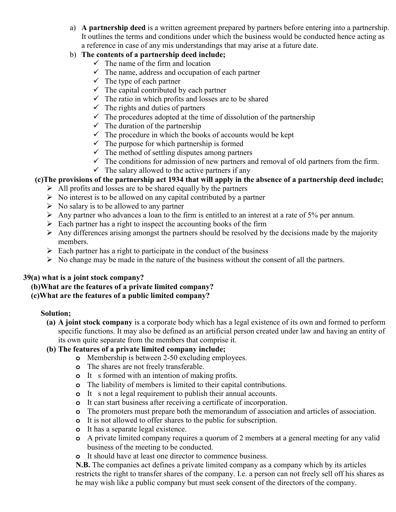a) **A partnership deed** is a written agreement prepared by partners before entering into a partnership. It outlines the terms and conditions under which the business would be conducted hence acting as a reference in case of any mis understandings that may arise at a future date.

### b) **The contents of a partnership deed include;**

- $\checkmark$  The name of the firm and location
- $\checkmark$  The name, address and occupation of each partner
- $\checkmark$  The type of each partner
- $\checkmark$  The capital contributed by each partner
- $\checkmark$  The ratio in which profits and losses are to be shared
- $\checkmark$  The rights and duties of partners
- $\checkmark$  The procedures adopted at the time of dissolution of the partnership
- $\checkmark$  The duration of the partnership
- $\checkmark$  The procedure in which the books of accounts would be kept
- $\checkmark$  The purpose for which partnership is formed
- $\checkmark$  The method of settling disputes among partners
- $\checkmark$  The conditions for admission of new partners and removal of old partners from the firm.
- $\checkmark$  The salary allowed to the active partners if any

# **(c)The provisions of the partnership act 1934 that will apply in the absence of a partnership deed include;**

- $\triangleright$  All profits and losses are to be shared equally by the partners
- $\triangleright$  No interest is to be allowed on any capital contributed by a partner
- $\triangleright$  No salary is to be allowed to any partner
- $\triangleright$  Any partner who advances a loan to the firm is entitled to an interest at a rate of 5% per annum.
- $\triangleright$  Each partner has a right to inspect the accounting books of the firm
- $\triangleright$  Any differences arising amongst the partners should be resolved by the decisions made by the majority members.
- $\triangleright$  Each partner has a right to participate in the conduct of the business
- $\triangleright$  No change may be made in the nature of the business without the consent of all the partners.

### **39(a) what is a joint stock company?**

### **(b)What are the features of a private limited company?**

### **(c)What are the features of a public limited company?**

### **Solution;**

**(a) A joint stock company** is a corporate body which has a legal existence of its own and formed to perform specific functions. It may also be defined as an artificial person created under law and having an entity of its own quite separate from the members that comprise it.

### **(b) The features of a private limited company include;**

- **o** Membership is between 2-50 excluding employees.
- **o** The shares are not freely transferable.
- **o** It s formed with an intention of making profits.
- **o** The liability of members is limited to their capital contributions.
- **o** It s not a legal requirement to publish their annual accounts.
- **o** It can start business after receiving a certificate of incorporation.
- **o** The promoters must prepare both the memorandum of association and articles of association.
- **o** It is not allowed to offer shares to the public for subscription.
- **o** It has a separate legal existence.
- **o** A private limited company requires a quorum of 2 members at a general meeting for any valid business of the meeting to be conducted.
- **o** It should have at least one director to commence business.

**N.B.** The companies act defines a private limited company as a company which by its articles restricts the right to transfer shares of the company. I.e. a person can not freely sell off his shares as he may wish like a public company but must seek consent of the directors of the company.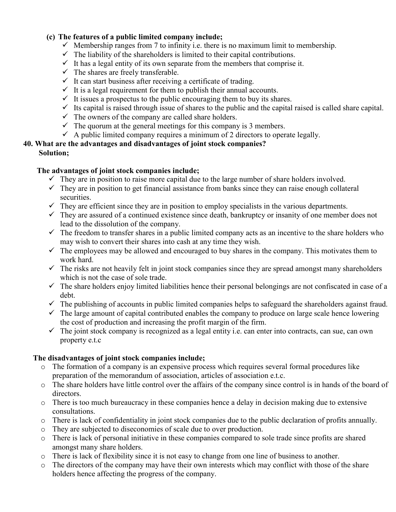#### **(c) The features of a public limited company include;**

- $\checkmark$  Membership ranges from 7 to infinity i.e. there is no maximum limit to membership.
- $\checkmark$  The liability of the shareholders is limited to their capital contributions.
- $\checkmark$  It has a legal entity of its own separate from the members that comprise it.
- $\checkmark$  The shares are freely transferable.
- $\checkmark$  It can start business after receiving a certificate of trading.
- $\checkmark$  It is a legal requirement for them to publish their annual accounts.
- $\checkmark$  It issues a prospectus to the public encouraging them to buy its shares.
- $\checkmark$  Its capital is raised through issue of shares to the public and the capital raised is called share capital.
- $\checkmark$  The owners of the company are called share holders.
- $\checkmark$  The quorum at the general meetings for this company is 3 members.
- $\checkmark$  A public limited company requires a minimum of 2 directors to operate legally.

# **40. What are the advantages and disadvantages of joint stock companies?**

#### **Solution;**

#### **The advantages of joint stock companies include;**

- $\checkmark$  They are in position to raise more capital due to the large number of share holders involved.
- $\checkmark$  They are in position to get financial assistance from banks since they can raise enough collateral securities.
- $\checkmark$  They are efficient since they are in position to employ specialists in the various departments.
- $\checkmark$  They are assured of a continued existence since death, bankruptcy or insanity of one member does not lead to the dissolution of the company.
- $\checkmark$  The freedom to transfer shares in a public limited company acts as an incentive to the share holders who may wish to convert their shares into cash at any time they wish.
- $\checkmark$  The employees may be allowed and encouraged to buy shares in the company. This motivates them to work hard.
- $\checkmark$  The risks are not heavily felt in joint stock companies since they are spread amongst many shareholders which is not the case of sole trade.
- $\checkmark$  The share holders enjoy limited liabilities hence their personal belongings are not confiscated in case of a debt.
- $\checkmark$  The publishing of accounts in public limited companies helps to safeguard the shareholders against fraud.
- $\checkmark$  The large amount of capital contributed enables the company to produce on large scale hence lowering the cost of production and increasing the profit margin of the firm.
- $\checkmark$  The joint stock company is recognized as a legal entity i.e. can enter into contracts, can sue, can own property e.t.c

### **The disadvantages of joint stock companies include;**

- o The formation of a company is an expensive process which requires several formal procedures like preparation of the memorandum of association, articles of association e.t.c.
- o The share holders have little control over the affairs of the company since control is in hands of the board of directors.
- o There is too much bureaucracy in these companies hence a delay in decision making due to extensive consultations.
- o There is lack of confidentiality in joint stock companies due to the public declaration of profits annually.
- o They are subjected to diseconomies of scale due to over production.
- o There is lack of personal initiative in these companies compared to sole trade since profits are shared amongst many share holders.
- o There is lack of flexibility since it is not easy to change from one line of business to another.
- o The directors of the company may have their own interests which may conflict with those of the share holders hence affecting the progress of the company.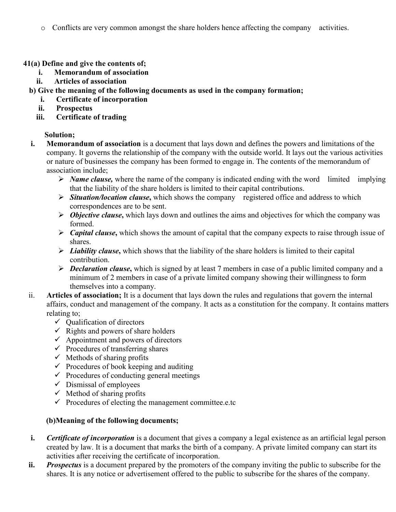o Conflicts are very common amongst the share holders hence affecting the company activities.

**41(a) Define and give the contents of;** 

- **i. Memorandum of association**
- **ii. Articles of association**
- **b) Give the meaning of the following documents as used in the company formation;** 
	- **i. Certificate of incorporation**
	- **ii. Prospectus**
	- **iii. Certificate of trading**

# **Solution;**

- **i. Memorandum of association** is a document that lays down and defines the powers and limitations of the company. It governs the relationship of the company with the outside world. It lays out the various activities or nature of businesses the company has been formed to engage in. The contents of the memorandum of association include;
	- *Name clause,* where the name of the company is indicated ending with the word limited implying that the liability of the share holders is limited to their capital contributions.
	- *Situation/location clause***,** which shows the company registered office and address to which correspondences are to be sent.
	- *Objective clause***,** which lays down and outlines the aims and objectives for which the company was formed.
	- *Capital clause***,** which shows the amount of capital that the company expects to raise through issue of shares.
	- *Liability clause***,** which shows that the liability of the share holders is limited to their capital contribution.
	- *Declaration clause***,** which is signed by at least 7 members in case of a public limited company and a minimum of 2 members in case of a private limited company showing their willingness to form themselves into a company.
- ii. **Articles of association;** It is a document that lays down the rules and regulations that govern the internal affairs, conduct and management of the company. It acts as a constitution for the company. It contains matters relating to;
	- $\checkmark$  Qualification of directors
	- $\checkmark$  Rights and powers of share holders
	- $\checkmark$  Appointment and powers of directors
	- $\checkmark$  Procedures of transferring shares
	- $\checkmark$  Methods of sharing profits
	- $\checkmark$  Procedures of book keeping and auditing
	- $\checkmark$  Procedures of conducting general meetings
	- $\checkmark$  Dismissal of employees
	- $\checkmark$  Method of sharing profits
	- $\checkmark$  Procedures of electing the management committee.e.tc

# **(b)Meaning of the following documents;**

- **i.** *Certificate of incorporation* is a document that gives a company a legal existence as an artificial legal person created by law. It is a document that marks the birth of a company. A private limited company can start its activities after receiving the certificate of incorporation.
- **ii.** *Prospectus* is a document prepared by the promoters of the company inviting the public to subscribe for the shares. It is any notice or advertisement offered to the public to subscribe for the shares of the company.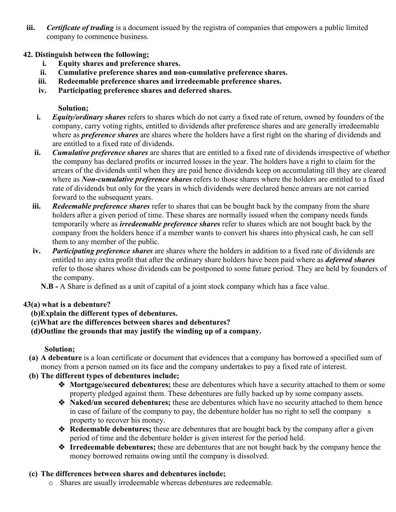- **iii.** *Certificate of trading* is a document issued by the registra of companies that empowers a public limited company to commence business.
- **42. Distinguish between the following;** 
	- **i. Equity shares and preference shares.**
	- **ii. Cumulative preference shares and non-cumulative preference shares.**
	- **iii. Redeemable preference shares and irredeemable preference shares.**
	- **iv. Participating preference shares and deferred shares.**

### **Solution;**

- **i.** *Equity/ordinary shares* refers to shares which do not carry a fixed rate of return, owned by founders of the company, carry voting rights, entitled to dividends after preference shares and are generally irredeemable where as *preference shares* are shares where the holders have a first right on the sharing of dividends and are entitled to a fixed rate of dividends.
- **ii.** *Cumulative preference shares* are shares that are entitled to a fixed rate of dividends irrespective of whether the company has declared profits or incurred losses in the year. The holders have a right to claim for the arrears of the dividends until when they are paid hence dividends keep on accumulating till they are cleared where as *Non-cumulative preference shares* refers to those shares where the holders are entitled to a fixed rate of dividends but only for the years in which dividends were declared hence arrears are not carried forward to the subsequent years.
- **iii.** *Redeemable preference shares* refer to shares that can be bought back by the company from the share holders after a given period of time. These shares are normally issued when the company needs funds temporarily where as *irredeemable preference shares* refer to shares which are not bought back by the company from the holders hence if a member wants to convert his shares into physical cash, he can sell them to any member of the public.
- **iv.** *Participating preference shares* are shares where the holders in addition to a fixed rate of dividends are entitled to any extra profit that after the ordinary share holders have been paid where as *deferred shares* refer to those shares whose dividends can be postponed to some future period. They are held by founders of the company.
	- **N.B** A Share is defined as a unit of capital of a joint stock company which has a face value.

# **43(a) what is a debenture?**

- **(b)Explain the different types of debentures.**
- **(c)What are the differences between shares and debentures?**
- **(d)Outline the grounds that may justify the winding up of a company.**

# **Solution;**

- **(a) A debenture** is a loan certificate or document that evidences that a company has borrowed a specified sum of money from a person named on its face and the company undertakes to pay a fixed rate of interest.
- **(b) The different types of debentures include;**
	- **Mortgage/secured debentures;** these are debentures which have a security attached to them or some property pledged against them. These debentures are fully backed up by some company assets.
	- **Naked/un secured debentures;** these are debentures which have no security attached to them hence in case of failure of the company to pay, the debenture holder has no right to sell the company s property to recover his money.
	- **Redeemable debentures;** these are debentures that are bought back by the company after a given period of time and the debenture holder is given interest for the period held.
	- **Irredeemable debentures;** these are debentures that are not bought back by the company hence the money borrowed remains owing until the company is dissolved.

# **(c) The differences between shares and debentures include;**

o Shares are usually irredeemable whereas debentures are redeemable.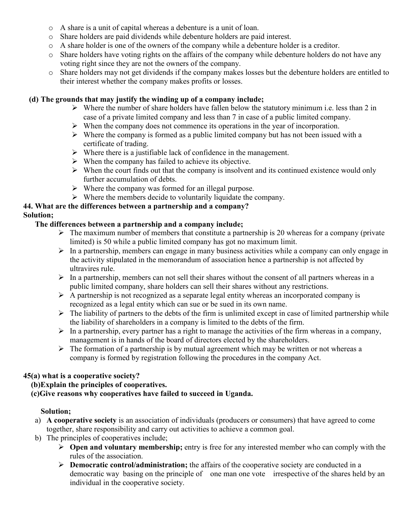- o A share is a unit of capital whereas a debenture is a unit of loan.
- o Share holders are paid dividends while debenture holders are paid interest.
- o A share holder is one of the owners of the company while a debenture holder is a creditor.
- o Share holders have voting rights on the affairs of the company while debenture holders do not have any voting right since they are not the owners of the company.
- o Share holders may not get dividends if the company makes losses but the debenture holders are entitled to their interest whether the company makes profits or losses.

## **(d) The grounds that may justify the winding up of a company include;**

- $\triangleright$  Where the number of share holders have fallen below the statutory minimum i.e. less than 2 in case of a private limited company and less than 7 in case of a public limited company.
- $\triangleright$  When the company does not commence its operations in the year of incorporation.
- $\triangleright$  Where the company is formed as a public limited company but has not been issued with a certificate of trading.
- $\triangleright$  Where there is a justifiable lack of confidence in the management.
- $\triangleright$  When the company has failed to achieve its objective.
- $\triangleright$  When the court finds out that the company is insolvent and its continued existence would only further accumulation of debts.
- $\triangleright$  Where the company was formed for an illegal purpose.
- $\triangleright$  Where the members decide to voluntarily liquidate the company.

# **44. What are the differences between a partnership and a company?**

# **Solution;**

# **The differences between a partnership and a company include;**

- $\triangleright$  The maximum number of members that constitute a partnership is 20 whereas for a company (private limited) is 50 while a public limited company has got no maximum limit.
- $\triangleright$  In a partnership, members can engage in many business activities while a company can only engage in the activity stipulated in the memorandum of association hence a partnership is not affected by ultravires rule.
- $\triangleright$  In a partnership, members can not sell their shares without the consent of all partners whereas in a public limited company, share holders can sell their shares without any restrictions.
- $\triangleright$  A partnership is not recognized as a separate legal entity whereas an incorporated company is recognized as a legal entity which can sue or be sued in its own name.
- $\triangleright$  The liability of partners to the debts of the firm is unlimited except in case of limited partnership while the liability of shareholders in a company is limited to the debts of the firm.
- $\triangleright$  In a partnership, every partner has a right to manage the activities of the firm whereas in a company, management is in hands of the board of directors elected by the shareholders.
- $\triangleright$  The formation of a partnership is by mutual agreement which may be written or not whereas a company is formed by registration following the procedures in the company Act.

# **45(a) what is a cooperative society?**

# **(b)Explain the principles of cooperatives.**

 **(c)Give reasons why cooperatives have failed to succeed in Uganda.** 

- a) **A cooperative society** is an association of individuals (producers or consumers) that have agreed to come together, share responsibility and carry out activities to achieve a common goal.
- b) The principles of cooperatives include;
	- **Open and voluntary membership;** entry is free for any interested member who can comply with the rules of the association.
	- **Democratic control/administration;** the affairs of the cooperative society are conducted in a democratic way basing on the principle of one man one vote irrespective of the shares held by an individual in the cooperative society.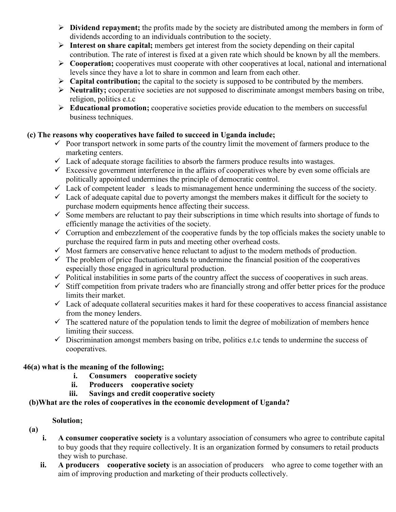- **Dividend repayment;** the profits made by the society are distributed among the members in form of dividends according to an individuals contribution to the society.
- **Interest on share capital;** members get interest from the society depending on their capital contribution. The rate of interest is fixed at a given rate which should be known by all the members.
- **Cooperation;** cooperatives must cooperate with other cooperatives at local, national and international levels since they have a lot to share in common and learn from each other.
- **Capital contribution;** the capital to the society is supposed to be contributed by the members.
- **Neutrality;** cooperative societies are not supposed to discriminate amongst members basing on tribe, religion, politics e.t.c
- **Educational promotion;** cooperative societies provide education to the members on successful business techniques.

### **(c) The reasons why cooperatives have failed to succeed in Uganda include;**

- $\checkmark$  Poor transport network in some parts of the country limit the movement of farmers produce to the marketing centers.
- $\checkmark$  Lack of adequate storage facilities to absorb the farmers produce results into wastages.
- $\checkmark$  Excessive government interference in the affairs of cooperatives where by even some officials are politically appointed undermines the principle of democratic control.
- $\checkmark$  Lack of competent leader s leads to mismanagement hence undermining the success of the society.
- $\checkmark$  Lack of adequate capital due to poverty amongst the members makes it difficult for the society to purchase modern equipments hence affecting their success.
- $\checkmark$  Some members are reluctant to pay their subscriptions in time which results into shortage of funds to efficiently manage the activities of the society.
- $\checkmark$  Corruption and embezzlement of the cooperative funds by the top officials makes the society unable to purchase the required farm in puts and meeting other overhead costs.
- $\checkmark$  Most farmers are conservative hence reluctant to adjust to the modern methods of production.
- $\checkmark$  The problem of price fluctuations tends to undermine the financial position of the cooperatives especially those engaged in agricultural production.
- $\checkmark$  Political instabilities in some parts of the country affect the success of cooperatives in such areas.
- $\checkmark$  Stiff competition from private traders who are financially strong and offer better prices for the produce limits their market.
- $\checkmark$  Lack of adequate collateral securities makes it hard for these cooperatives to access financial assistance from the money lenders.
- $\checkmark$  The scattered nature of the population tends to limit the degree of mobilization of members hence limiting their success.
- $\checkmark$  Discrimination amongst members basing on tribe, politics e.t.c tends to undermine the success of cooperatives.

### **46(a) what is the meaning of the following;**

- **i. Consumers cooperative society**
- **ii. Producers cooperative society**
- **iii. Savings and credit cooperative society**

### **(b)What are the roles of cooperatives in the economic development of Uganda?**

- **(a)**
- **i.** A consumer cooperative society is a voluntary association of consumers who agree to contribute capital to buy goods that they require collectively. It is an organization formed by consumers to retail products they wish to purchase.
- **ii. A producers cooperative society** is an association of producers who agree to come together with an aim of improving production and marketing of their products collectively.